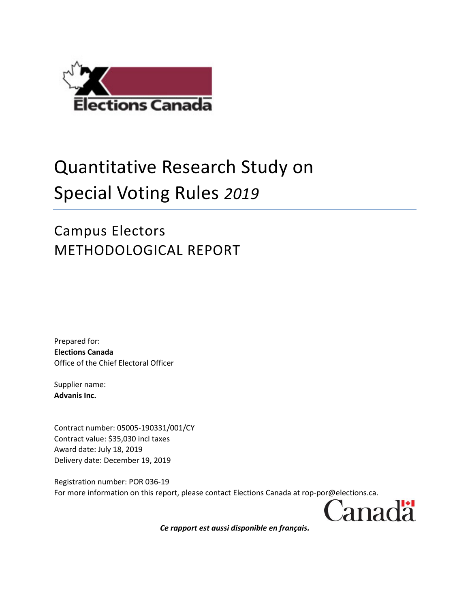

# Quantitative Research Study on Special Voting Rules *2019*

# Campus Electors METHODOLOGICAL REPORT

Prepared for: **Elections Canada** Office of the Chief Electoral Officer

Supplier name: **Advanis Inc.**

Contract number: 05005-190331/001/CY Contract value: \$35,030 incl taxes Award date: July 18, 2019 Delivery date: December 19, 2019

Registration number: POR 036-19 For more information on this report, please contact Elections Canada at rop-por@elections.ca.

Canadä

*Ce rapport est aussi disponible en français.*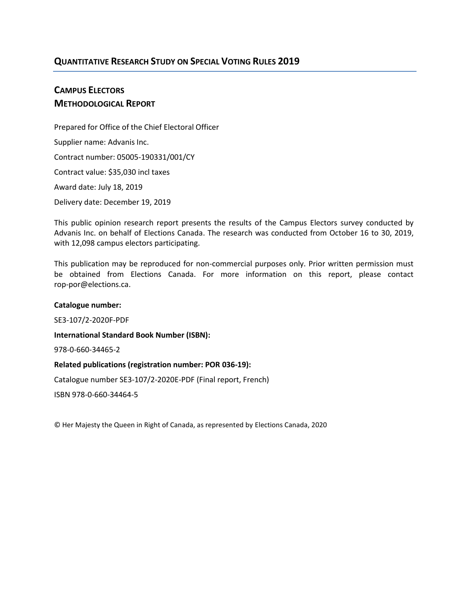#### **QUANTITATIVE RESEARCH STUDY ON SPECIAL VOTING RULES 2019**

## **CAMPUS ELECTORS METHODOLOGICAL REPORT**

Prepared for Office of the Chief Electoral Officer Supplier name: Advanis Inc. Contract number: 05005-190331/001/CY Contract value: \$35,030 incl taxes Award date: July 18, 2019 Delivery date: December 19, 2019

This public opinion research report presents the results of the Campus Electors survey conducted by Advanis Inc. on behalf of Elections Canada. The research was conducted from October 16 to 30, 2019, with 12,098 campus electors participating.

This publication may be reproduced for non-commercial purposes only. Prior written permission must be obtained from Elections Canada. For more information on this report, please contact rop-por@elections.ca.

# **Catalogue number:**

SE3-107/2-2020F-PDF

**International Standard Book Number (ISBN):**

978-0-660-34465-2

#### **Related publications (registration number: POR 036-19):**

Catalogue number SE3-107/2-2020E-PDF (Final report, French)

ISBN 978-0-660-34464-5

© Her Majesty the Queen in Right of Canada, as represented by Elections Canada, 2020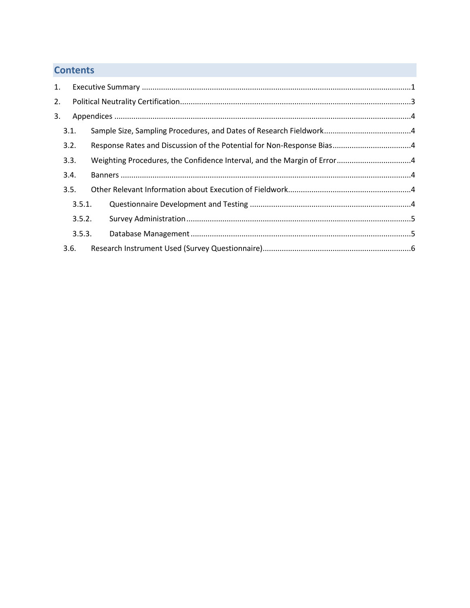# **Contents**

| 1.               |        |  |  |  |
|------------------|--------|--|--|--|
| 2.               |        |  |  |  |
| 3.               |        |  |  |  |
|                  | 3.1.   |  |  |  |
|                  | 3.2.   |  |  |  |
|                  | 3.3.   |  |  |  |
|                  | 3.4.   |  |  |  |
|                  | 3.5.   |  |  |  |
|                  | 3.5.1. |  |  |  |
| 3.5.2.<br>3.5.3. |        |  |  |  |
|                  |        |  |  |  |
|                  | 3.6.   |  |  |  |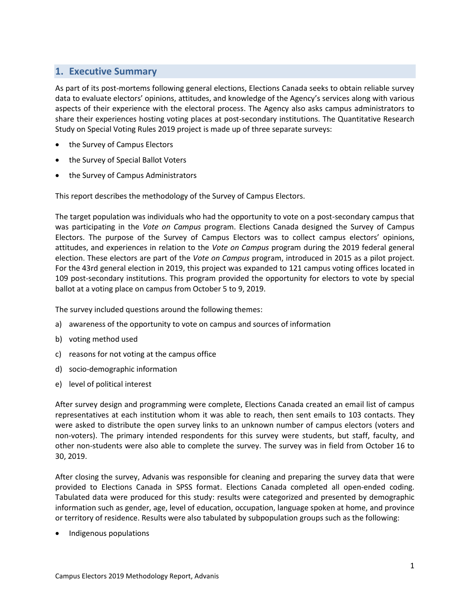#### <span id="page-4-0"></span>**1. Executive Summary**

As part of its post-mortems following general elections, Elections Canada seeks to obtain reliable survey data to evaluate electors' opinions, attitudes, and knowledge of the Agency's services along with various aspects of their experience with the electoral process. The Agency also asks campus administrators to share their experiences hosting voting places at post-secondary institutions. The Quantitative Research Study on Special Voting Rules 2019 project is made up of three separate surveys:

- the Survey of Campus Electors
- the Survey of Special Ballot Voters
- the Survey of Campus Administrators

This report describes the methodology of the Survey of Campus Electors.

The target population was individuals who had the opportunity to vote on a post-secondary campus that was participating in the *Vote on Campus* program. Elections Canada designed the Survey of Campus Electors. The purpose of the Survey of Campus Electors was to collect campus electors' opinions, attitudes, and experiences in relation to the *Vote on Campus* program during the 2019 federal general election. These electors are part of the *Vote on Campus* program, introduced in 2015 as a pilot project. For the 43rd general election in 2019, this project was expanded to 121 campus voting offices located in 109 post-secondary institutions. This program provided the opportunity for electors to vote by special ballot at a voting place on campus from October 5 to 9, 2019.

The survey included questions around the following themes:

- a) awareness of the opportunity to vote on campus and sources of information
- b) voting method used
- c) reasons for not voting at the campus office
- d) socio-demographic information
- e) level of political interest

After survey design and programming were complete, Elections Canada created an email list of campus representatives at each institution whom it was able to reach, then sent emails to 103 contacts. They were asked to distribute the open survey links to an unknown number of campus electors (voters and non-voters). The primary intended respondents for this survey were students, but staff, faculty, and other non-students were also able to complete the survey. The survey was in field from October 16 to 30, 2019.

After closing the survey, Advanis was responsible for cleaning and preparing the survey data that were provided to Elections Canada in SPSS format. Elections Canada completed all open-ended coding. Tabulated data were produced for this study: results were categorized and presented by demographic information such as gender, age, level of education, occupation, language spoken at home, and province or territory of residence. Results were also tabulated by subpopulation groups such as the following:

Indigenous populations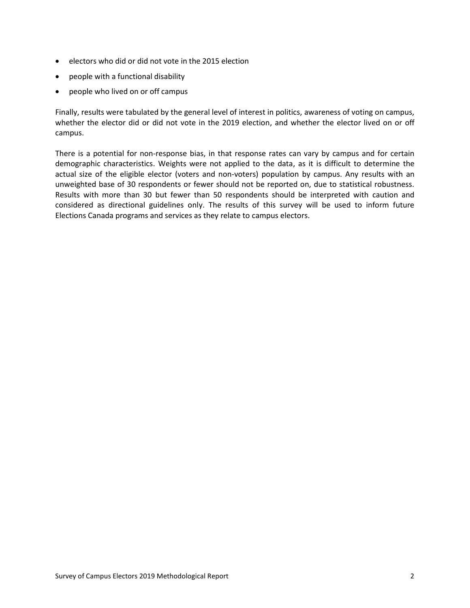- electors who did or did not vote in the 2015 election
- people with a functional disability
- people who lived on or off campus

Finally, results were tabulated by the general level of interest in politics, awareness of voting on campus, whether the elector did or did not vote in the 2019 election, and whether the elector lived on or off campus.

There is a potential for non-response bias, in that response rates can vary by campus and for certain demographic characteristics. Weights were not applied to the data, as it is difficult to determine the actual size of the eligible elector (voters and non-voters) population by campus. Any results with an unweighted base of 30 respondents or fewer should not be reported on, due to statistical robustness. Results with more than 30 but fewer than 50 respondents should be interpreted with caution and considered as directional guidelines only. The results of this survey will be used to inform future Elections Canada programs and services as they relate to campus electors.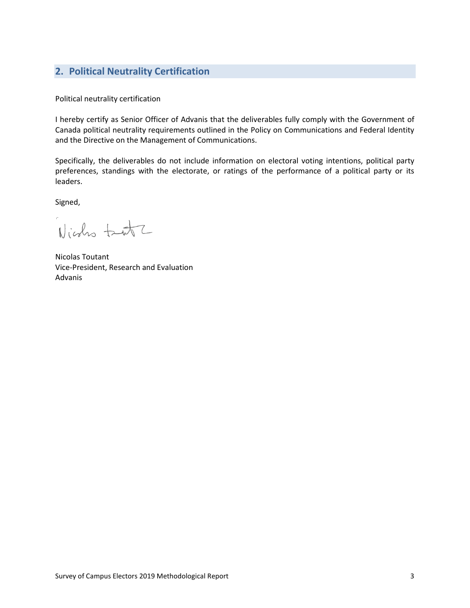### <span id="page-6-0"></span>**2. Political Neutrality Certification**

Political neutrality certification

I hereby certify as Senior Officer of Advanis that the deliverables fully comply with the Government of Canada political neutrality requirements outlined in the Policy on Communications and Federal Identity and the Directive on the Management of Communications.

Specifically, the deliverables do not include information on electoral voting intentions, political party preferences, standings with the electorate, or ratings of the performance of a political party or its leaders.

Signed,

Nights tant

Nicolas Toutant Vice-President, Research and Evaluation Advanis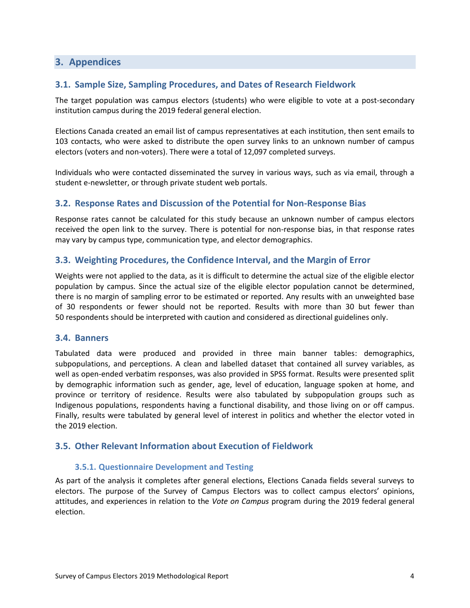#### <span id="page-7-0"></span>**3. Appendices**

#### <span id="page-7-1"></span>**3.1. Sample Size, Sampling Procedures, and Dates of Research Fieldwork**

The target population was campus electors (students) who were eligible to vote at a post-secondary institution campus during the 2019 federal general election.

Elections Canada created an email list of campus representatives at each institution, then sent emails to 103 contacts, who were asked to distribute the open survey links to an unknown number of campus electors (voters and non-voters). There were a total of 12,097 completed surveys.

Individuals who were contacted disseminated the survey in various ways, such as via email, through a student e-newsletter, or through private student web portals.

#### <span id="page-7-2"></span>**3.2. Response Rates and Discussion of the Potential for Non-Response Bias**

Response rates cannot be calculated for this study because an unknown number of campus electors received the open link to the survey. There is potential for non-response bias, in that response rates may vary by campus type, communication type, and elector demographics.

#### <span id="page-7-3"></span>**3.3. Weighting Procedures, the Confidence Interval, and the Margin of Error**

Weights were not applied to the data, as it is difficult to determine the actual size of the eligible elector population by campus. Since the actual size of the eligible elector population cannot be determined, there is no margin of sampling error to be estimated or reported. Any results with an unweighted base of 30 respondents or fewer should not be reported. Results with more than 30 but fewer than 50 respondents should be interpreted with caution and considered as directional guidelines only.

#### <span id="page-7-4"></span>**3.4. Banners**

Tabulated data were produced and provided in three main banner tables: demographics, subpopulations, and perceptions. A clean and labelled dataset that contained all survey variables, as well as open-ended verbatim responses, was also provided in SPSS format. Results were presented split by demographic information such as gender, age, level of education, language spoken at home, and province or territory of residence. Results were also tabulated by subpopulation groups such as Indigenous populations, respondents having a functional disability, and those living on or off campus. Finally, results were tabulated by general level of interest in politics and whether the elector voted in the 2019 election.

#### <span id="page-7-6"></span><span id="page-7-5"></span>**3.5. Other Relevant Information about Execution of Fieldwork**

#### **3.5.1. Questionnaire Development and Testing**

As part of the analysis it completes after general elections, Elections Canada fields several surveys to electors. The purpose of the Survey of Campus Electors was to collect campus electors' opinions, attitudes, and experiences in relation to the *Vote on Campus* program during the 2019 federal general election.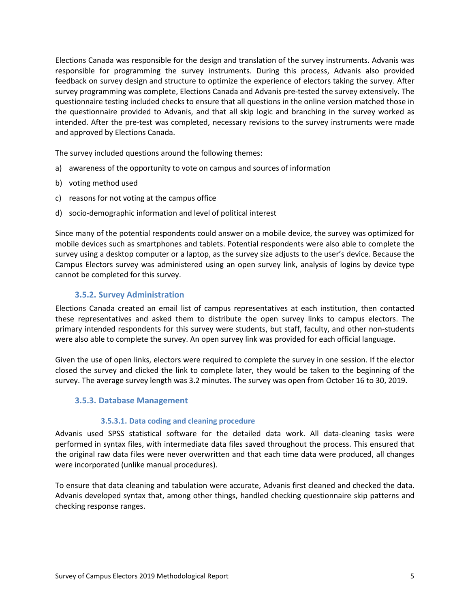Elections Canada was responsible for the design and translation of the survey instruments. Advanis was responsible for programming the survey instruments. During this process, Advanis also provided feedback on survey design and structure to optimize the experience of electors taking the survey. After survey programming was complete, Elections Canada and Advanis pre-tested the survey extensively. The questionnaire testing included checks to ensure that all questions in the online version matched those in the questionnaire provided to Advanis, and that all skip logic and branching in the survey worked as intended. After the pre-test was completed, necessary revisions to the survey instruments were made and approved by Elections Canada.

The survey included questions around the following themes:

- a) awareness of the opportunity to vote on campus and sources of information
- b) voting method used
- c) reasons for not voting at the campus office
- d) socio-demographic information and level of political interest

Since many of the potential respondents could answer on a mobile device, the survey was optimized for mobile devices such as smartphones and tablets. Potential respondents were also able to complete the survey using a desktop computer or a laptop, as the survey size adjusts to the user's device. Because the Campus Electors survey was administered using an open survey link, analysis of logins by device type cannot be completed for this survey.

#### <span id="page-8-0"></span>**3.5.2. Survey Administration**

Elections Canada created an email list of campus representatives at each institution, then contacted these representatives and asked them to distribute the open survey links to campus electors. The primary intended respondents for this survey were students, but staff, faculty, and other non-students were also able to complete the survey. An open survey link was provided for each official language.

Given the use of open links, electors were required to complete the survey in one session. If the elector closed the survey and clicked the link to complete later, they would be taken to the beginning of the survey. The average survey length was 3.2 minutes. The survey was open from October 16 to 30, 2019.

#### <span id="page-8-1"></span>**3.5.3. Database Management**

#### **3.5.3.1. Data coding and cleaning procedure**

Advanis used SPSS statistical software for the detailed data work. All data-cleaning tasks were performed in syntax files, with intermediate data files saved throughout the process. This ensured that the original raw data files were never overwritten and that each time data were produced, all changes were incorporated (unlike manual procedures).

To ensure that data cleaning and tabulation were accurate, Advanis first cleaned and checked the data. Advanis developed syntax that, among other things, handled checking questionnaire skip patterns and checking response ranges.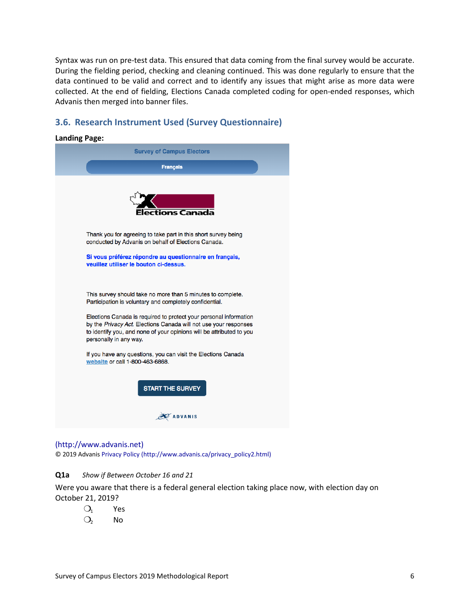Syntax was run on pre-test data. This ensured that data coming from the final survey would be accurate. During the fielding period, checking and cleaning continued. This was done regularly to ensure that the data continued to be valid and correct and to identify any issues that might arise as more data were collected. At the end of fielding, Elections Canada completed coding for open-ended responses, which Advanis then merged into banner files.

#### <span id="page-9-0"></span>**3.6. Research Instrument Used (Survey Questionnaire)**

| <b>Landing Page:</b>                                                                                                                                                                                                                    |  |
|-----------------------------------------------------------------------------------------------------------------------------------------------------------------------------------------------------------------------------------------|--|
| <b>Survey of Campus Electors</b>                                                                                                                                                                                                        |  |
| <b>Français</b>                                                                                                                                                                                                                         |  |
| ections Canada                                                                                                                                                                                                                          |  |
| Thank you for agreeing to take part in this short survey being<br>conducted by Advanis on behalf of Elections Canada.                                                                                                                   |  |
| Si vous préférez répondre au questionnaire en français,<br>veuillez utiliser le bouton ci-dessus.                                                                                                                                       |  |
| This survey should take no more than 5 minutes to complete.<br>Participation is voluntary and completely confidential.                                                                                                                  |  |
| Elections Canada is required to protect your personal information<br>by the Privacy Act. Elections Canada will not use your responses<br>to identify you, and none of your opinions will be attributed to you<br>personally in any way. |  |
| If you have any questions, you can visit the Elections Canada<br>website or call 1-800-463-6868.                                                                                                                                        |  |
| <b>START THE SURVEY</b>                                                                                                                                                                                                                 |  |
| <b>ADVANIS</b>                                                                                                                                                                                                                          |  |

(http://www.advanis.net)

© 2019 Advanis Privacy Policy (http://www.advanis.ca/privacy\_policy2.html)

#### **Q1a** *Show if Between October 16 and 21*

Were you aware that there is a federal general election taking place now, with election day on October 21, 2019?

- $O_1$  Yes
- $O<sub>2</sub>$  No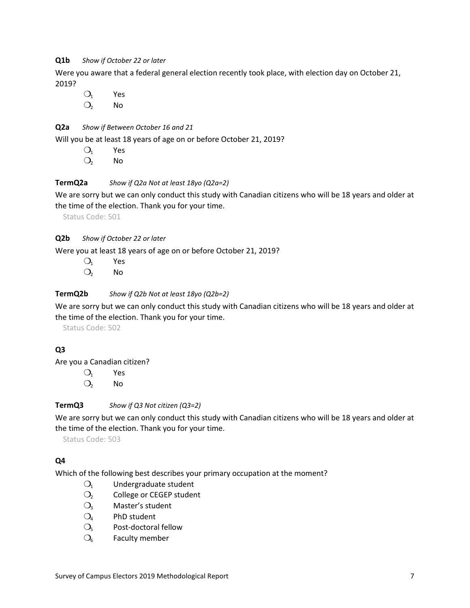#### **Q1b** *Show if October 22 or later*

Were you aware that a federal general election recently took place, with election day on October 21, 2019?

 $O_1$  Yes

 $O<sub>2</sub>$  No

#### **Q2a** *Show if Between October 16 and 21*

Will you be at least 18 years of age on or before October 21, 2019?

- $O_1$  Yes
- $O<sub>2</sub>$  No

#### **TermQ2a** *Show if Q2a Not at least 18yo (Q2a=2)*

We are sorry but we can only conduct this study with Canadian citizens who will be 18 years and older at the time of the election. Thank you for your time.

Status Code: 501

#### **Q2b** *Show if October 22 or later*

Were you at least 18 years of age on or before October 21, 2019?

 $O_1$  Yes  $O<sub>2</sub>$  No

#### **TermQ2b** *Show if Q2b Not at least 18yo (Q2b=2)*

We are sorry but we can only conduct this study with Canadian citizens who will be 18 years and older at the time of the election. Thank you for your time.

Status Code: 502

#### **Q3**

Are you a Canadian citizen?

❍<sup>1</sup> Yes

 $O<sub>2</sub>$  No

**TermQ3** *Show if Q3 Not citizen (Q3=2)*

We are sorry but we can only conduct this study with Canadian citizens who will be 18 years and older at the time of the election. Thank you for your time.

Status Code: 503

#### **Q4**

Which of the following best describes your primary occupation at the moment?

- $O_1$  Undergraduate student
- O<sub>2</sub> College or CEGEP student
- $O<sub>3</sub>$  Master's student
- $O_4$  PhD student
- $O<sub>5</sub>$  Post-doctoral fellow
- $O<sub>6</sub>$  Faculty member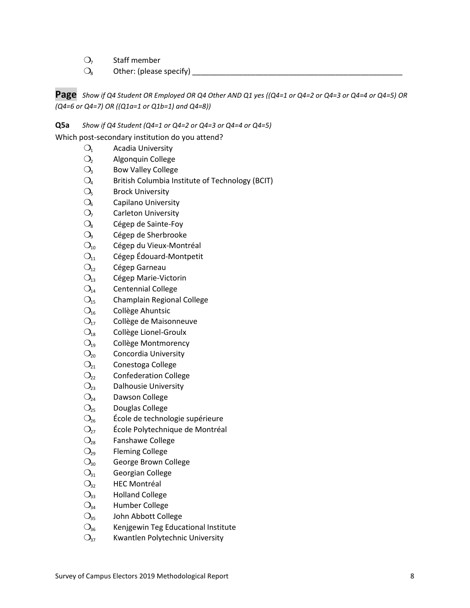- $O<sub>7</sub>$  Staff member
- ❍<sup>8</sup> Other: (please specify) \_\_\_\_\_\_\_\_\_\_\_\_\_\_\_\_\_\_\_\_\_\_\_\_\_\_\_\_\_\_\_\_\_\_\_\_\_\_\_\_\_\_\_\_\_\_\_\_\_\_

**Page** *Show if Q4 Student OR Employed OR Q4 Other AND Q1 yes ((Q4=1 or Q4=2 or Q4=3 or Q4=4 or Q4=5) OR (Q4=6 or Q4=7) OR ((Q1a=1 or Q1b=1) and Q4=8))*

**Q5a** *Show if Q4 Student (Q4=1 or Q4=2 or Q4=3 or Q4=4 or Q4=5)*

Which post-secondary institution do you attend?

- $O<sub>1</sub>$  Acadia University
- O<sub>2</sub> Algonquin College
- $O<sub>3</sub>$  Bow Valley College
- $O_4$  British Columbia Institute of Technology (BCIT)
- $O<sub>5</sub>$  Brock University
- $O<sub>6</sub>$  Capilano University
- $O<sub>7</sub>$  Carleton University
- $O_8$  Cégep de Sainte-Foy
- $O<sub>9</sub>$  Cégep de Sherbrooke
- $O<sub>10</sub>$  Cégep du Vieux-Montréal
- $O<sub>11</sub>$  Cégep Édouard-Montpetit
- $O_{12}$  Cégep Garneau
- $O<sub>13</sub>$  Cégep Marie-Victorin
- $O<sub>14</sub>$  Centennial College
- $O<sub>15</sub>$  Champlain Regional College
- $O<sub>16</sub>$  Collège Ahuntsic
- O<sub>17</sub> Collège de Maisonneuve
- $O_{18}$  Collège Lionel-Groulx
- $O<sub>19</sub>$  Collège Montmorency
- $O<sub>20</sub>$  Concordia University
- $O<sub>21</sub>$  Conestoga College
- $O_{22}$  Confederation College
- $O_{23}$  Dalhousie University
- $O<sub>24</sub>$  Dawson College
- $O<sub>25</sub>$  Douglas College
- $\mathcal{O}_{26}$  École de technologie supérieure
- $O<sub>27</sub>$  École Polytechnique de Montréal
- $\mathcal{O}_{28}$  Fanshawe College
- $O_{29}$  Fleming College
- $O<sub>30</sub>$  George Brown College
- $O_{31}$  Georgian College
- $O_{32}$  HEC Montréal
- $O_{33}$  Holland College
- $O<sub>34</sub>$  Humber College
- $O_{35}$  John Abbott College
- $O<sub>36</sub>$  Kenjgewin Teg Educational Institute
- $O_{37}$  Kwantlen Polytechnic University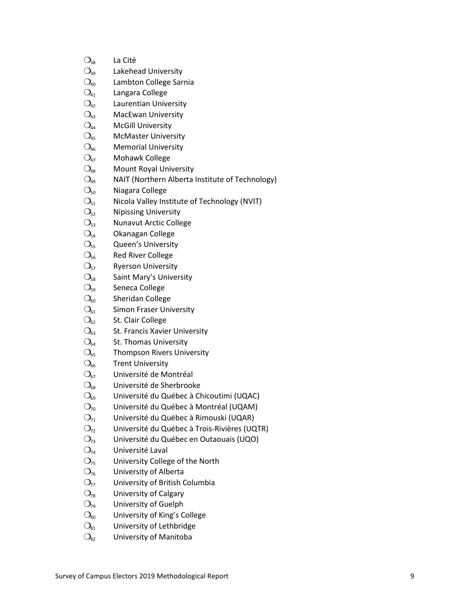| $O_{38}$            | La Cité                                         |
|---------------------|-------------------------------------------------|
| $O_{39}$            | Lakehead University                             |
| $\mathcal{O}_{40}$  | Lambton College Sarnia                          |
| $\mathrm{O}_{41}$   | Langara College                                 |
| $O_{42}$            | Laurentian University                           |
| $\mathcal{O}_{43}$  | <b>MacEwan University</b>                       |
| $\mathrm{O}_{44}$   | <b>McGill University</b>                        |
| $O_{45}$            | <b>McMaster University</b>                      |
| $\overline{O}_{46}$ | <b>Memorial University</b>                      |
| $O_{47}$            | Mohawk College                                  |
| $\mathrm{O}_{48}$   | <b>Mount Royal University</b>                   |
| $O_{49}$            | NAIT (Northern Alberta Institute of Technology) |
| $\mathcal{O}_{50}$  | Niagara College                                 |
| $\mathrm{O}_{51}$   | Nicola Valley Institute of Technology (NVIT)    |
| $\mathrm{O}_{52}$   | <b>Nipissing University</b>                     |
| $\mathrm{O}_{53}$   | <b>Nunavut Arctic College</b>                   |
| O <sub>54</sub>     | Okanagan College                                |
| O <sub>55</sub>     | Queen's University                              |
| $\mathrm{O}_{56}$   | <b>Red River College</b>                        |
| $\mathrm{O}_{57}$   | <b>Ryerson University</b>                       |
| O <sub>58</sub>     | Saint Mary's University                         |
| $\mathrm{O}_{59}$   | Seneca College                                  |
| $\mathcal{O}_{60}$  | Sheridan College                                |
| $\bigcirc_{61}$     | <b>Simon Fraser University</b>                  |
| $\mathcal{O}_{62}$  | St. Clair College                               |
| $\mathcal{O}_{63}$  | St. Francis Xavier University                   |
| $\bigcirc_{64}$     | St. Thomas University                           |
| $\mathrm{O}_{65}$   | <b>Thompson Rivers University</b>               |
| $\mathcal{O}_{66}$  | <b>Trent University</b>                         |
| $\mathcal{O}_{67}$  | Université de Montréal                          |
| $\mathcal{O}_{68}$  | Université de Sherbrooke                        |
| $\mathcal{O}_{69}$  | Université du Québec à Chicoutimi (UQAC)        |
| $O_{70}$            | Université du Québec à Montréal (UQAM)          |
| $O_{71}$            | Université du Québec à Rimouski (UQAR)          |
| $O_{72}$            | Université du Québec à Trois-Rivières (UQTR)    |
| $O_{73}$            | Université du Québec en Outaouais (UQO)         |
| $O_{74}$            | Université Laval                                |
| $O_{75}$            | University College of the North                 |
| $O_{76}$            | University of Alberta                           |
| $O_{77}$            | University of British Columbia                  |
| $O_{78}$            | University of Calgary                           |
| $O_{79}$            | University of Guelph                            |
| $\mathcal{O}_{80}$  | University of King's College                    |
| $\mathcal{O}_{81}$  | University of Lethbridge                        |
| $\mathrm{O}_{82}$   | University of Manitoba                          |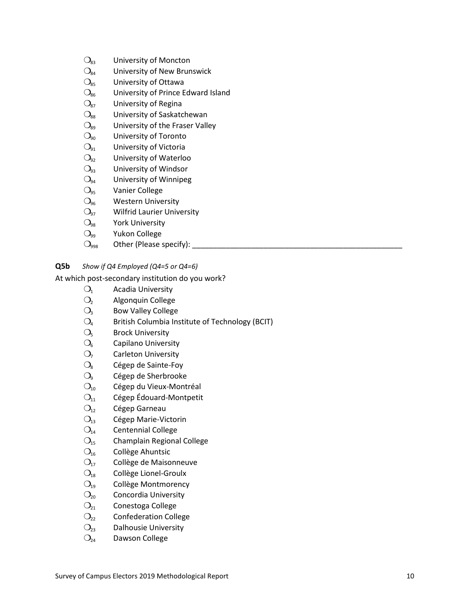| University of New Brunswick        |
|------------------------------------|
|                                    |
|                                    |
| University of Prince Edward Island |
|                                    |
| University of Saskatchewan         |
| University of the Fraser Valley    |
|                                    |
|                                    |
| University of Waterloo             |
|                                    |
| University of Winnipeg             |
|                                    |
|                                    |
| <b>Wilfrid Laurier University</b>  |
|                                    |
|                                    |
|                                    |

❍<sup>998</sup> Other (Please specify): \_\_\_\_\_\_\_\_\_\_\_\_\_\_\_\_\_\_\_\_\_\_\_\_\_\_\_\_\_\_\_\_\_\_\_\_\_\_\_\_\_\_\_\_\_\_\_\_\_\_

#### **Q5b** *Show if Q4 Employed (Q4=5 or Q4=6)*

At which post-secondary institution do you work?

- $O<sub>1</sub>$  Acadia University
- ❍<sup>2</sup> Algonquin College
- $O<sub>3</sub>$  Bow Valley College
- $O<sub>4</sub>$  British Columbia Institute of Technology (BCIT)
- $O<sub>5</sub>$  Brock University
- $O<sub>6</sub>$  Capilano University
- $O<sub>7</sub>$  Carleton University
- $O_8$  Cégep de Sainte-Foy
- O<sub>9</sub> Cégep de Sherbrooke
- $O<sub>10</sub>$  Cégep du Vieux-Montréal
- $O<sub>11</sub>$  Cégep Édouard-Montpetit
- $O_{12}$  Cégep Garneau
- $O_{13}$  Cégep Marie-Victorin
- $O<sub>14</sub>$  Centennial College
- $O<sub>15</sub>$  Champlain Regional College
- $O<sub>16</sub>$  Collège Ahuntsic
- $O<sub>17</sub>$  Collège de Maisonneuve
- $O_{18}$  Collège Lionel-Groulx
- $O_{19}$  Collège Montmorency
- $O<sub>20</sub>$  Concordia University
- $O<sub>21</sub>$  Conestoga College
- $O_{22}$  Confederation College
- $O<sub>23</sub>$  Dalhousie University
- $O<sub>24</sub>$  Dawson College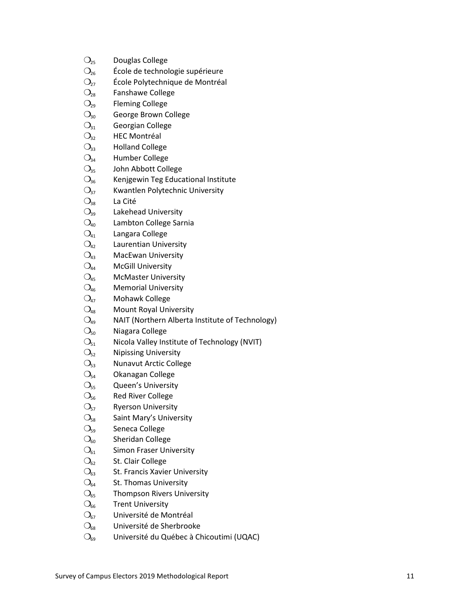| $O_{25}$             | Douglas College                                      |    |
|----------------------|------------------------------------------------------|----|
| $\mathrm{O_{26}}$    | École de technologie supérieure                      |    |
| $\mathrm{O}_{27}$    | École Polytechnique de Montréal                      |    |
| $\mathrm{O_{28}}$    | Fanshawe College                                     |    |
| $O_{29}$             | <b>Fleming College</b>                               |    |
| $\bigcirc_{30}$      | George Brown College                                 |    |
| $\mathrm{O}_{31}$    | Georgian College                                     |    |
| $\mathrm{O}_{32}$    | <b>HEC Montréal</b>                                  |    |
| $\mathrm{O}_{33}$    | <b>Holland College</b>                               |    |
| $O_{34}$             | Humber College                                       |    |
| $\mathrm{O}_{35}$    | John Abbott College                                  |    |
| $O_{36}$             | Kenjgewin Teg Educational Institute                  |    |
| $\mathrm{O}_{37}$    | Kwantlen Polytechnic University                      |    |
| $\mathrm{O}_{38}$    | La Cité                                              |    |
| $\mathrm{O}_{39}$    | Lakehead University                                  |    |
| $\mathrm{O}_{40}$    | Lambton College Sarnia                               |    |
| $\mathrm{O}_{41}$    | Langara College                                      |    |
| $O_{42}$             | Laurentian University                                |    |
| $O_{43}$             | <b>MacEwan University</b>                            |    |
| $\mathrm{O}_{44}$    | <b>McGill University</b>                             |    |
| $\mathrm{O}_{45}$    | <b>McMaster University</b>                           |    |
| $\mathcal{O}_{46}$   | <b>Memorial University</b>                           |    |
| $\mathrm{O}_{47}$    | Mohawk College                                       |    |
| $\mathrm{O}_{\!48}$  | Mount Royal University                               |    |
| $O_{49}$             | NAIT (Northern Alberta Institute of Technology)      |    |
| $\mathrm{O}_{50}$    | Niagara College                                      |    |
| $\mathrm{O}_{51}$    | Nicola Valley Institute of Technology (NVIT)         |    |
| $\mathrm{O}_{52}$    | <b>Nipissing University</b>                          |    |
| $\mathrm{O}_{53}$    | <b>Nunavut Arctic College</b>                        |    |
| $\mathrm{O}_{54}$    | Okanagan College                                     |    |
| $\mathrm{O}_{55}$    | Queen's University                                   |    |
| $\mathrm{O}_{\!56}$  | <b>Red River College</b>                             |    |
| O <sub>57</sub>      | <b>Ryerson University</b>                            |    |
| $\mathrm{O}_{58}$    | Saint Mary's University                              |    |
| $\mathrm{O}_{59}$    | Seneca College                                       |    |
| $\bigcirc_{60}$      | Sheridan College                                     |    |
| $\mathrm{O}_{61}$    | <b>Simon Fraser University</b>                       |    |
| $\mathrm{O}_{62}$    | St. Clair College                                    |    |
| $\mathrm{O}_{63}$    | St. Francis Xavier University                        |    |
| $\mathrm{O}_{64}$    | St. Thomas University                                |    |
| $\mathrm{O}_{65}$    | <b>Thompson Rivers University</b>                    |    |
| $\mathrm{O}_{66}$    | <b>Trent University</b>                              |    |
| $\mathrm{O}_{67}$    | Université de Montréal                               |    |
| $\mathrm{O}_{_{68}}$ | Université de Sherbrooke                             |    |
| $\bigcirc_{69}$      | Université du Québec à Chicoutimi (UQAC)             |    |
|                      |                                                      |    |
|                      | Survey of Campus Electors 2019 Methodological Report | 11 |
|                      |                                                      |    |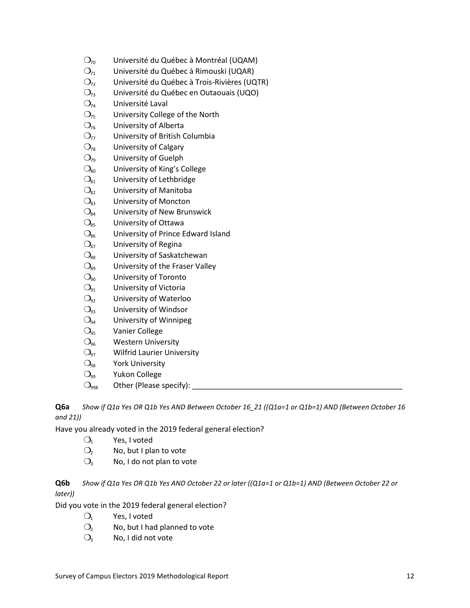| $\mathcal{O}_{70}$<br>Université du Québec à Montréal (UQAM) |  |
|--------------------------------------------------------------|--|
|--------------------------------------------------------------|--|

- $O<sub>71</sub>$  Université du Québec à Rimouski (UQAR)
- $O<sub>72</sub>$  Université du Québec à Trois-Rivières (UQTR)
- ❍<sup>73</sup> Université du Québec en Outaouais (UQO)
- $O<sub>74</sub>$  Université Laval
- $O_{75}$  University College of the North
- $O<sub>76</sub>$  University of Alberta
- $O<sub>77</sub>$  University of British Columbia
- $O_{78}$  University of Calgary
- $O_{79}$  University of Guelph
- $O_{80}$  University of King's College
- $O_{81}$  University of Lethbridge
- $\mathrm{O}_{82}$  University of Manitoba
- $\mathcal{O}_{83}$  University of Moncton
- $O_{84}$  University of New Brunswick
- $O_{85}$  University of Ottawa
- $\mathcal{O}_{86}$  University of Prince Edward Island
- $O_{87}$  University of Regina
- $O_{88}$  University of Saskatchewan
- $O<sub>89</sub>$  University of the Fraser Valley
- $O_{90}$  University of Toronto
- $O_{91}$  University of Victoria
- $O_{92}$  University of Waterloo
- $O_{93}$  University of Windsor
- $O<sub>94</sub>$  University of Winnipeg
- $O<sub>95</sub>$  Vanier College
- $O<sub>96</sub>$  Western University
- $O_{97}$  Wilfrid Laurier University
- $O_{98}$  York University
- $O_{99}$  Yukon College
- $\bigcirc_{998}$  Other (Please specify):

**Q6a** *Show if Q1a Yes OR Q1b Yes AND Between October 16\_21 ((Q1a=1 or Q1b=1) AND (Between October 16 and 21))*

Have you already voted in the 2019 federal general election?

- $O_1$  Yes, I voted
- $O<sub>2</sub>$  No, but I plan to vote
- $O_3$  No, I do not plan to vote

**Q6b** *Show if Q1a Yes OR Q1b Yes AND October 22 or later ((Q1a=1 or Q1b=1) AND (Between October 22 or later))*

Did you vote in the 2019 federal general election?

- $O_1$  Yes, I voted
- $O<sub>2</sub>$  No, but I had planned to vote
- $O_3$  No, I did not vote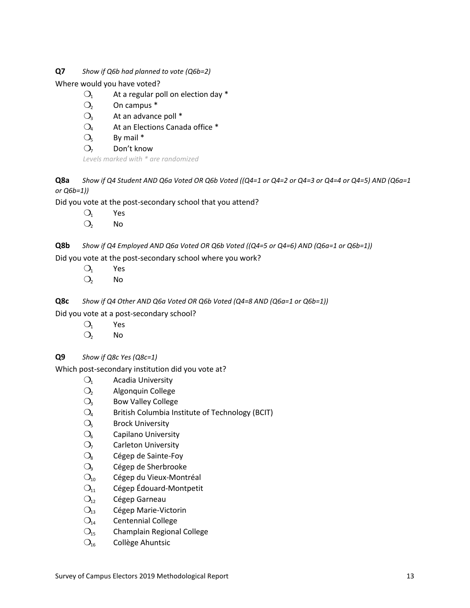**Q7** *Show if Q6b had planned to vote (Q6b=2)*

Where would you have voted?

- $O_1$  At a regular poll on election day \*
- $O<sub>2</sub>$  On campus  $*$
- $O_3$  At an advance poll  $*$
- $O_4$  At an Elections Canada office  $*$
- $Q_5$  By mail  $*$
- $O<sub>7</sub>$  Don't know

*Levels marked with \* are randomized*

**Q8a** *Show if Q4 Student AND Q6a Voted OR Q6b Voted ((Q4=1 or Q4=2 or Q4=3 or Q4=4 or Q4=5) AND (Q6a=1 or Q6b=1))*

Did you vote at the post-secondary school that you attend?

- $O_1$  Yes
- $O<sub>2</sub>$  No

**Q8b** *Show if Q4 Employed AND Q6a Voted OR Q6b Voted ((Q4=5 or Q4=6) AND (Q6a=1 or Q6b=1))*

Did you vote at the post-secondary school where you work?

- $O_1$  Yes
- $O<sub>2</sub>$  No
- **Q8c** *Show if Q4 Other AND Q6a Voted OR Q6b Voted (Q4=8 AND (Q6a=1 or Q6b=1))*

Did you vote at a post-secondary school?

- $O_1$  Yes
- $O<sub>2</sub>$  No

**Q9** *Show if Q8c Yes (Q8c=1)*

Which post-secondary institution did you vote at?

- $O<sub>1</sub>$  Acadia University
- O<sub>2</sub> Algonquin College
- $O<sub>3</sub>$  Bow Valley College
- $O_4$  British Columbia Institute of Technology (BCIT)
- $O<sub>5</sub>$  Brock University
- $O<sub>6</sub>$  Capilano University
- $O<sub>7</sub>$  Carleton University
- $O_8$  Cégep de Sainte-Foy
- O<sub>9</sub> Cégep de Sherbrooke
- $O<sub>10</sub>$  Cégep du Vieux-Montréal
- $O<sub>11</sub>$  Cégep Édouard-Montpetit
- $O_{12}$  Cégep Garneau
- $O_{13}$  Cégep Marie-Victorin
- $O<sub>14</sub>$  Centennial College
- $O<sub>15</sub>$  Champlain Regional College
- $O<sub>16</sub>$  Collège Ahuntsic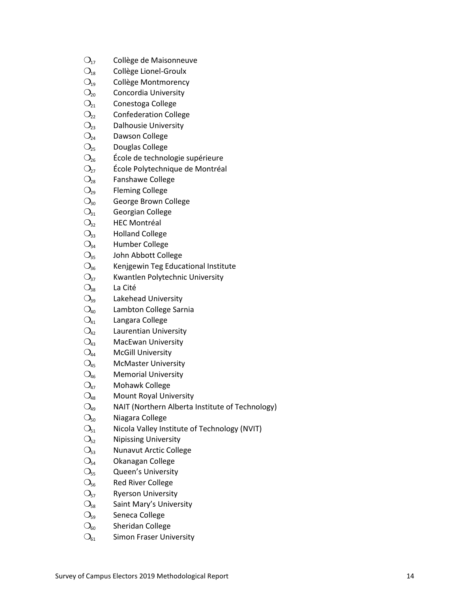| $O_{17}$                            | Collège de Maisonneuve                               |    |
|-------------------------------------|------------------------------------------------------|----|
| $O_{18}$                            | Collège Lionel-Groulx                                |    |
| $O_{19}$                            | Collège Montmorency                                  |    |
| $\mathrm{O_{20}}$                   | Concordia University                                 |    |
| $\mathrm{O}_{21}$                   | Conestoga College                                    |    |
| $\mathrm{O}_{22}$                   | <b>Confederation College</b>                         |    |
| $\mathrm{O}_{23}$                   | <b>Dalhousie University</b>                          |    |
| $\mathrm{O}_{24}$                   | Dawson College                                       |    |
| $\mathrm{O}_{25}$                   | Douglas College                                      |    |
| $O_{26}$                            | École de technologie supérieure                      |    |
| $O_{27}$                            | École Polytechnique de Montréal                      |    |
| $\mathrm{O}_{\!28}$                 | Fanshawe College                                     |    |
| $O_{29}$                            | <b>Fleming College</b>                               |    |
| $\mathrm{O}_{30}$                   | George Brown College                                 |    |
| $\bigcirc_{31}$                     | Georgian College                                     |    |
| $\mathrm{O}_{32}$                   | <b>HEC Montréal</b>                                  |    |
| $\mathrm{O}_{33}$                   | <b>Holland College</b>                               |    |
| $O_{34}$                            | Humber College                                       |    |
| $\mathrm{O}_{35}$                   | John Abbott College                                  |    |
| $\mathrm{O}_{36}$                   | Kenjgewin Teg Educational Institute                  |    |
| $\mathrm{O}_{37}$                   | Kwantlen Polytechnic University                      |    |
| $\mathrm{O}_{38}$                   | La Cité                                              |    |
| $\mathrm{O}_{39}$                   | Lakehead University                                  |    |
| $\mathrm{O}_{40}$                   | Lambton College Sarnia                               |    |
| $O_{41}$                            | Langara College                                      |    |
| $O_{42}$                            | Laurentian University                                |    |
| $\mathrm{O}_{43}$                   | <b>MacEwan University</b>                            |    |
| $\mathrm{O}_{44}$                   | <b>McGill University</b>                             |    |
| $\mathrm{O}_{45}$                   | <b>McMaster University</b>                           |    |
| $\mathcal{O}_{46}$                  | <b>Memorial University</b>                           |    |
| $O_{47}$                            | Mohawk College                                       |    |
| $\mathrm{O}_{\!48}$                 | Mount Royal University                               |    |
| $\bigcirc_{\scriptscriptstyle{49}}$ | NAIT (Northern Alberta Institute of Technology)      |    |
| $\bigcirc_{50}$                     | Niagara College                                      |    |
| $\mathrm{O}_{51}$                   | Nicola Valley Institute of Technology (NVIT)         |    |
| $\mathrm{O}_{52}$                   | <b>Nipissing University</b>                          |    |
| $\mathrm{O}_{53}$                   | <b>Nunavut Arctic College</b>                        |    |
| $\mathrm{O}_{54}$                   | Okanagan College                                     |    |
| $\mathrm{O}_{55}$                   | Queen's University                                   |    |
| $\mathrm{O}_{56}$                   | <b>Red River College</b>                             |    |
| $\mathrm{O}_{57}$                   | <b>Ryerson University</b>                            |    |
| $\mathrm{O}_{58}$                   | Saint Mary's University                              |    |
| $\mathrm{O}_{59}$                   | Seneca College                                       |    |
| $\bigcirc_{60}$                     | Sheridan College                                     |    |
| $\bigcirc_{61}$                     | <b>Simon Fraser University</b>                       |    |
|                                     |                                                      |    |
|                                     | Survey of Campus Electors 2019 Methodological Report | 14 |
|                                     |                                                      |    |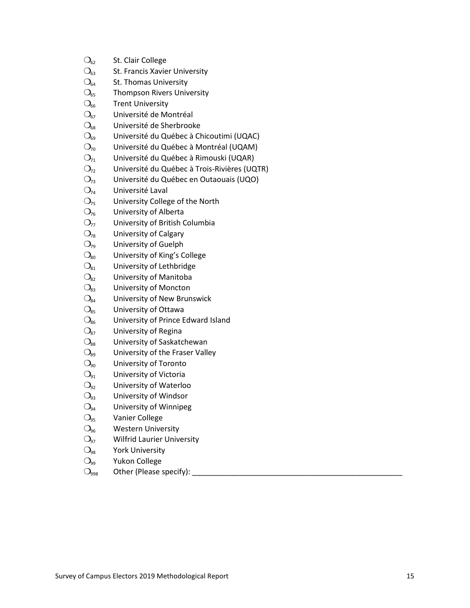| $\mathcal{O}_{62}$                  | St. Clair College                            |
|-------------------------------------|----------------------------------------------|
| $\mathcal{O}_{63}$                  | St. Francis Xavier University                |
| $\bigcirc_{64}$                     | St. Thomas University                        |
| $\mathrm{O}_{65}$                   | <b>Thompson Rivers University</b>            |
| $\mathcal{O}_{66}$                  | <b>Trent University</b>                      |
| $\mathcal{O}_{67}$                  | Université de Montréal                       |
| $\mathcal{O}_{68}$                  | Université de Sherbrooke                     |
| $\mathcal{O}_{69}$                  | Université du Québec à Chicoutimi (UQAC)     |
| $\mathcal{O}_{70}$                  | Université du Québec à Montréal (UQAM)       |
| $O_{71}$                            | Université du Québec à Rimouski (UQAR)       |
| $O_{72}$                            | Université du Québec à Trois-Rivières (UQTR) |
| $O_{73}$                            | Université du Québec en Outaouais (UQO)      |
| $O_{74}$                            | Université Laval                             |
| $O_{75}$                            | University College of the North              |
| $O_{76}$                            | University of Alberta                        |
| $O_{77}$                            | University of British Columbia               |
| $\bigcirc_{78}$                     | University of Calgary                        |
| $O_{79}$                            | University of Guelph                         |
| $\mathcal{O}_{80}$                  | University of King's College                 |
| $\mathcal{O}_{81}$                  | University of Lethbridge                     |
| $\mathcal{O}_{82}$                  | University of Manitoba                       |
| $\mathcal{O}_{83}$                  | University of Moncton                        |
| $\mathcal{O}_{84}$                  | University of New Brunswick                  |
| $\mathcal{O}_{85}$                  | University of Ottawa                         |
| $\mathcal{O}_{86}$                  | University of Prince Edward Island           |
| $O_{87}$                            | University of Regina                         |
| $\bigcirc_{88}$                     | University of Saskatchewan                   |
| $\bigcirc_{89}$                     | University of the Fraser Valley              |
| $\bigcirc_{90}$                     | University of Toronto                        |
| $\bigcirc_{91}$                     | University of Victoria                       |
| $O_{92}$                            | University of Waterloo                       |
| $\bigcirc_{93}$                     | University of Windsor                        |
| $\bigcirc_{94}$                     | University of Winnipeg                       |
| $\bigcirc$ <sub>95</sub>            | Vanier College                               |
| $\mathcal{O}_{96}$                  | <b>Western University</b>                    |
| $O_{97}$                            | <b>Wilfrid Laurier University</b>            |
| $\bigcirc_{\scriptscriptstyle{98}}$ | <b>York University</b>                       |
| $\bigcirc_{99}$                     | Yukon College                                |
| $O_{998}$                           | Other (Please specify):                      |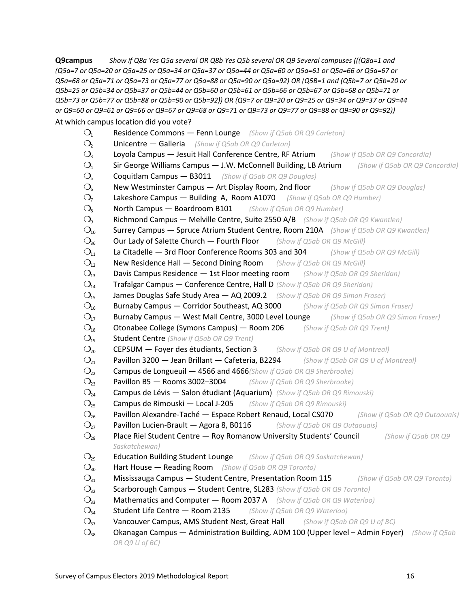**Q9campus** *Show if Q8a Yes Q5a several OR Q8b Yes Q5b several OR Q9 Several campuses (((Q8a=1 and (Q5a=7 or Q5a=20 or Q5a=25 or Q5a=34 or Q5a=37 or Q5a=44 or Q5a=60 or Q5a=61 or Q5a=66 or Q5a=67 or Q5a=68 or Q5a=71 or Q5a=73 or Q5a=77 or Q5a=88 or Q5a=90 or Q5a=92) OR (Q5B=1 and (Q5b=7 or Q5b=20 or Q5b=25 or Q5b=34 or Q5b=37 or Q5b=44 or Q5b=60 or Q5b=61 or Q5b=66 or Q5b=67 or Q5b=68 or Q5b=71 or Q5b=73 or Q5b=77 or Q5b=88 or Q5b=90 or Q5b=92)) OR (Q9=7 or Q9=20 or Q9=25 or Q9=34 or Q9=37 or Q9=44 or Q9=60 or Q9=61 or Q9=66 or Q9=67 or Q9=68 or Q9=71 or Q9=73 or Q9=77 or Q9=88 or Q9=90 or Q9=92))*

At which campus location did you vote?

- ❍<sup>1</sup> Residence Commons Fenn Lounge *(Show if Q5ab OR Q9 Carleton)*
- ❍<sup>2</sup> Unicentre Galleria *(Show if Q5ab OR Q9 Carleton)*
- ❍<sup>3</sup> Loyola Campus Jesuit Hall Conference Centre, RF Atrium *(Show if Q5ab OR Q9 Concordia)*
- ❍<sup>4</sup> Sir George Williams Campus J.W. McConnell Building, LB Atrium *(Show if Q5ab OR Q9 Concordia)*
- ❍<sup>5</sup> Coquitlam Campus B3011 *(Show if Q5ab OR Q9 Douglas)*
- ❍<sup>6</sup> New Westminster Campus Art Display Room, 2nd floor *(Show if Q5ab OR Q9 Douglas)*
- ❍<sup>7</sup> Lakeshore Campus Building A, Room A1070 *(Show if Q5ab OR Q9 Humber)*
- ❍<sup>8</sup> North Campus Boardroom B101 *(Show if Q5ab OR Q9 Humber)*
- ❍<sup>9</sup> Richmond Campus Melville Centre, Suite 2550 A/B *(Show if Q5ab OR Q9 Kwantlen)*
- ❍<sup>10</sup> Surrey Campus Spruce Atrium Student Centre, Room 210A *(Show if Q5ab OR Q9 Kwantlen)*
- ❍<sup>36</sup> Our Lady of Salette Church Fourth Floor *(Show if Q5ab OR Q9 McGill)*
- ❍<sup>11</sup> La Citadelle 3rd Floor Conference Rooms 303 and 304 *(Show if Q5ab OR Q9 McGill)*
- ❍<sup>12</sup> New Residence Hall Second Dining Room *(Show if Q5ab OR Q9 McGill)*

❍<sup>13</sup> Davis Campus Residence — 1st Floor meeting room *(Show if Q5ab OR Q9 Sheridan)*

- ❍<sup>14</sup> Trafalgar Campus Conference Centre, Hall D *(Show if Q5ab OR Q9 Sheridan)*
- ❍<sup>15</sup> James Douglas Safe Study Area AQ 2009.2 *(Show if Q5ab OR Q9 Simon Fraser)*
- ❍<sup>16</sup> Burnaby Campus Corridor Southeast, AQ 3000 *(Show if Q5ab OR Q9 Simon Fraser)*
- ❍<sup>17</sup> Burnaby Campus West Mall Centre, 3000 Level Lounge *(Show if Q5ab OR Q9 Simon Fraser)*
- ❍<sup>18</sup> Otonabee College (Symons Campus) Room 206 *(Show if Q5ab OR Q9 Trent)*
- ❍<sup>19</sup> Student Centre *(Show if Q5ab OR Q9 Trent)*
- ❍<sup>20</sup> CEPSUM Foyer des étudiants, Section 3 *(Show if Q5ab OR Q9 U of Montreal)*
- ❍<sup>21</sup> Pavillon 3200 Jean Brillant Cafeteria, B2294 *(Show if Q5ab OR Q9 U of Montreal)*
- ❍<sup>22</sup> Campus de Longueuil 4566 and 4666*(Show if Q5ab OR Q9 Sherbrooke)*
- ❍<sup>23</sup> Pavillon B5 Rooms 3002–3004 *(Show if Q5ab OR Q9 Sherbrooke)*
- ❍<sup>24</sup> Campus de Lévis Salon étudiant (Aquarium) *(Show if Q5ab OR Q9 Rimouski)*
- ❍<sup>25</sup> Campus de Rimouski Local J-205 *(Show if Q5ab OR Q9 Rimouski)*
- ❍<sup>26</sup> Pavillon Alexandre-Taché Espace Robert Renaud, Local CS070 *(Show if Q5ab OR Q9 Outaouais)*
- ❍<sup>27</sup> Pavillon Lucien-Brault Agora 8, B0116 *(Show if Q5ab OR Q9 Outaouais)*
- ❍<sup>28</sup> Place Riel Student Centre Roy Romanow University Students' Council *(Show if Q5ab OR Q9 Saskatchewan)*
- ❍<sup>29</sup> Education Building Student Lounge *(Show if Q5ab OR Q9 Saskatchewan)*
- ❍<sup>30</sup> Hart House Reading Room *(Show if Q5ab OR Q9 Toronto)*
- ❍<sup>31</sup> Mississauga Campus Student Centre, Presentation Room 115 *(Show if Q5ab OR Q9 Toronto)*
- ❍<sup>32</sup> Scarborough Campus Student Centre, SL283 *(Show if Q5ab OR Q9 Toronto)*
- ❍<sup>33</sup> Mathematics and Computer Room 2037 A *(Show if Q5ab OR Q9 Waterloo)*
- ❍<sup>34</sup> Student Life Centre Room 2135 *(Show if Q5ab OR Q9 Waterloo)*
- ❍<sup>37</sup> Vancouver Campus, AMS Student Nest, Great Hall *(Show if Q5ab OR Q9 U of BC)*
- ❍<sup>38</sup> Okanagan Campus Administration Building, ADM 100 (Upper level Admin Foyer) *(Show if Q5ab OR Q9 U of BC)*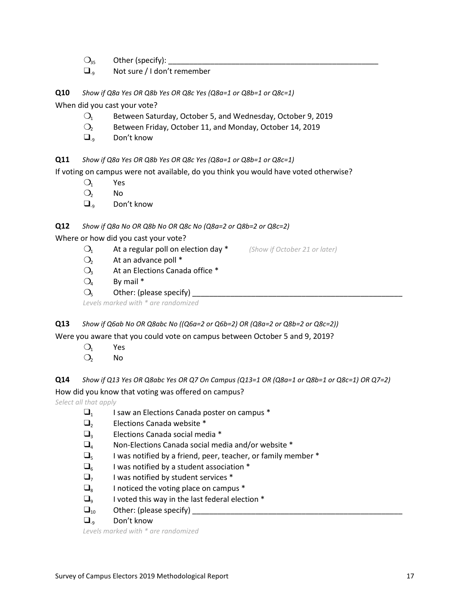$\bigcirc_{35}$  Other (specify):

 $\square_{9}$  Not sure / I don't remember

**Q10** *Show if Q8a Yes OR Q8b Yes OR Q8c Yes (Q8a=1 or Q8b=1 or Q8c=1)*

When did you cast your vote?

- $O<sub>1</sub>$  Between Saturday, October 5, and Wednesday, October 9, 2019
- ❍<sup>2</sup> Between Friday, October 11, and Monday, October 14, 2019
- $\Box$ <sub>9</sub> Don't know

**Q11** *Show if Q8a Yes OR Q8b Yes OR Q8c Yes (Q8a=1 or Q8b=1 or Q8c=1)*

If voting on campus were not available, do you think you would have voted otherwise?

- $O_1$  Yes
- $O<sub>2</sub>$  No
- $\Box_{\alpha}$  Don't know

#### **Q12** *Show if Q8a No OR Q8b No OR Q8c No (Q8a=2 or Q8b=2 or Q8c=2)*

Where or how did you cast your vote?

- ❍<sup>1</sup> At a regular poll on election day \* *(Show if October 21 or later)*
- $O<sub>2</sub>$  At an advance poll  $*$
- $O<sub>3</sub>$  At an Elections Canada office  $*$
- $O_4$  By mail  $*$
- $\bigcirc_{5}$  Other: (please specify)

*Levels marked with \* are randomized*

**Q13** *Show if Q6ab No OR Q8abc No ((Q6a=2 or Q6b=2) OR (Q8a=2 or Q8b=2 or Q8c=2))*

Were you aware that you could vote on campus between October 5 and 9, 2019?

- $O_1$  Yes
- $O<sub>2</sub>$  No

**Q14** *Show if Q13 Yes OR Q8abc Yes OR Q7 On Campus (Q13=1 OR (Q8a=1 or Q8b=1 or Q8c=1) OR Q7=2)*

How did you know that voting was offered on campus?

*Select all that apply*

- $\Box$ <sub>1</sub> I saw an Elections Canada poster on campus  $*$
- $\Box$ <sub>2</sub> Elections Canada website  $*$
- $\Box$ <sub>3</sub> Elections Canada social media  $*$
- $\Box$ <sub>4</sub> Non-Elections Canada social media and/or website \*
- $\square_{5}$  I was notified by a friend, peer, teacher, or family member  $*$
- $\Box_{6}$  I was notified by a student association \*
- $\Box$ <sub>7</sub> I was notified by student services \*
- $\Box$ <sub>8</sub> I noticed the voting place on campus  $*$
- $\Box$ <sub>9</sub> I voted this way in the last federal election  $*$
- ❑<sup>10</sup> Other: (please specify) \_\_\_\_\_\_\_\_\_\_\_\_\_\_\_\_\_\_\_\_\_\_\_\_\_\_\_\_\_\_\_\_\_\_\_\_\_\_\_\_\_\_\_\_\_\_\_\_\_\_
- $\Box_{\alpha}$  Don't know

*Levels marked with \* are randomized*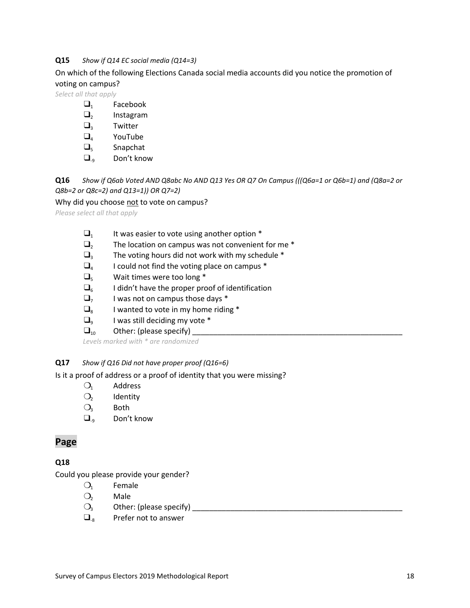#### **Q15** *Show if Q14 EC social media (Q14=3)*

On which of the following Elections Canada social media accounts did you notice the promotion of voting on campus?

*Select all that apply*

- $\Box_1$  Facebook
- $\square$ <sub>2</sub> Instagram
- $\Box$ <sub>3</sub> Twitter
- $\Box_4$  YouTube
- $\Box$ <sub>5</sub> Snapchat
- $\Box_{q}$  Don't know

**Q16** *Show if Q6ab Voted AND Q8abc No AND Q13 Yes OR Q7 On Campus (((Q6a=1 or Q6b=1) and (Q8a=2 or Q8b=2 or Q8c=2) and Q13=1)) OR Q7=2)*

Why did you choose not to vote on campus?

*Please select all that apply*

- $\Box_1$  It was easier to vote using another option  $^*$
- $\Box$ <sub>2</sub> The location on campus was not convenient for me  $^*$
- $\Box$ <sub>3</sub> The voting hours did not work with my schedule  $*$
- $\Box_4$  I could not find the voting place on campus  $^*$
- $\Box$ <sub>5</sub> Wait times were too long \*
- $\Box$ <sub>6</sub> I didn't have the proper proof of identification
- $\Box$ <sub>7</sub> I was not on campus those days  $*$
- $\Box$ <sub>8</sub> I wanted to vote in my home riding  $*$
- $\Box$ <sub>9</sub> I was still deciding my vote \*
- $\square_{10}$  Other: (please specify)

*Levels marked with \* are randomized*

#### **Q17** *Show if Q16 Did not have proper proof (Q16=6)*

Is it a proof of address or a proof of identity that you were missing?

- $O_1$  Address
- $O<sub>2</sub>$  Identity
- $O_3$  Both
- $\Box_{9}$  Don't know

#### **Page**

#### **Q18**

Could you please provide your gender?

- $O<sub>1</sub>$  Female
- O<sub>2</sub> Male
- ❍<sup>3</sup> Other: (please specify) \_\_\_\_\_\_\_\_\_\_\_\_\_\_\_\_\_\_\_\_\_\_\_\_\_\_\_\_\_\_\_\_\_\_\_\_\_\_\_\_\_\_\_\_\_\_\_\_\_\_
- $\Box$ <sub>8</sub> Prefer not to answer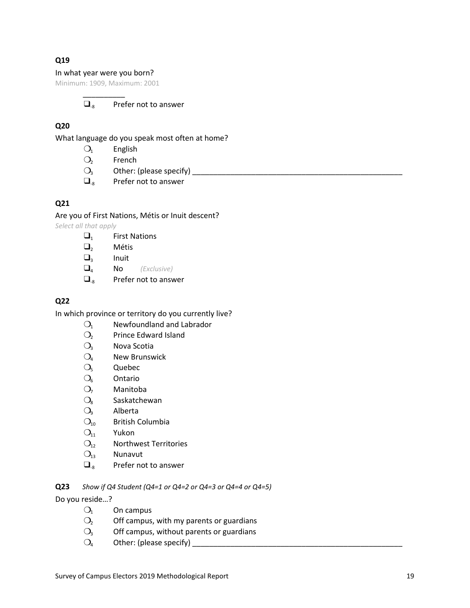#### **Q19**

#### In what year were you born?

Minimum: 1909, Maximum: 2001 \_\_\_\_\_\_\_\_\_\_

#### $\Box$ <sub>8</sub> Prefer not to answer

#### **Q20**

What language do you speak most often at home?

- $O_1$  English
- $O<sub>2</sub>$  French
- ❍<sup>3</sup> Other: (please specify) \_\_\_\_\_\_\_\_\_\_\_\_\_\_\_\_\_\_\_\_\_\_\_\_\_\_\_\_\_\_\_\_\_\_\_\_\_\_\_\_\_\_\_\_\_\_\_\_\_\_
- $\Box$ <sub>8</sub> Prefer not to answer

#### **Q21**

Are you of First Nations, Métis or Inuit descent? *Select all that apply*

- $\Box_1$  First Nations
- ❑<sup>2</sup> Métis
- $\square$ <sub>3</sub> Inuit
- ❑<sup>4</sup> No *(Exclusive)*
- $\Box$ <sub>8</sub> Prefer not to answer

#### **Q22**

In which province or territory do you currently live?

- O<sub>1</sub> Newfoundland and Labrador
- O<sub>2</sub> Prince Edward Island
- $O<sub>3</sub>$  Nova Scotia
- $O_4$  New Brunswick
- $O<sub>5</sub>$  Quebec
- $O<sub>6</sub>$  Ontario
- O<sub>7</sub> Manitoba
- $O_8$  Saskatchewan
- $O<sub>9</sub>$  Alberta
- $O_{10}$  British Columbia
- $O_{11}$  Yukon
- $O<sub>12</sub>$  Northwest Territories
- $O_{13}$  Nunavut
- $\Box$ <sub>8</sub> Prefer not to answer

**Q23** *Show if Q4 Student (Q4=1 or Q4=2 or Q4=3 or Q4=4 or Q4=5)*

Do you reside…?

- $O_1$  On campus
- $O<sub>2</sub>$  Off campus, with my parents or guardians
- $O<sub>3</sub>$  Off campus, without parents or guardians
- $O_4$  Other: (please specify)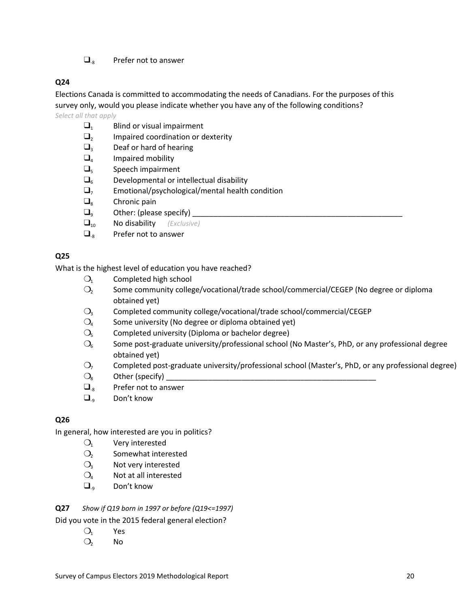$\Box$ <sub>8</sub> Prefer not to answer

#### **Q24**

Elections Canada is committed to accommodating the needs of Canadians. For the purposes of this survey only, would you please indicate whether you have any of the following conditions? *Select all that apply*

- $\Box_1$  Blind or visual impairment
- $\Box$ <sub>2</sub> Impaired coordination or dexterity
- $\Box$ <sub>3</sub> Deaf or hard of hearing
- $\Box$ <sub>4</sub> Impaired mobility
- $\Box$ <sub>5</sub> Speech impairment
- $\square_{6}$  Developmental or intellectual disability
- $\Box$ <sub>7</sub> Emotional/psychological/mental health condition
- $\Box$ <sub>8</sub> Chronic pain
- $\square$ <sub>9</sub> Other: (please specify)  $\qquad \qquad$
- ❑<sup>10</sup> No disability *(Exclusive)*
- $\Box$ <sub>8</sub> Prefer not to answer

#### **Q25**

What is the highest level of education you have reached?

- $O<sub>1</sub>$  Completed high school
- $\mathcal{O}_2$  Some community college/vocational/trade school/commercial/CEGEP (No degree or diploma obtained yet)
- $O<sub>3</sub>$  Completed community college/vocational/trade school/commercial/CEGEP
- $\mathrm{O}_4$  Some university (No degree or diploma obtained yet)
- $O<sub>5</sub>$  Completed university (Diploma or bachelor degree)
- $\mathrm{O}_6$  Some post-graduate university/professional school (No Master's, PhD, or any professional degree obtained yet)
- $O<sub>7</sub>$  Completed post-graduate university/professional school (Master's, PhD, or any professional degree)
- $\bigcirc_{\mathsf{8}}$  Other (specify)
- $\Box$ <sub>8</sub> Prefer not to answer
- $\Box_{\alpha}$  Don't know

#### **Q26**

In general, how interested are you in politics?

- $O_1$  Very interested
- O<sub>2</sub> Somewhat interested
- $O<sub>3</sub>$  Not very interested
- $O_4$  Not at all interested
- $\Box_{\alpha}$  Don't know

#### **Q27** *Show if Q19 born in 1997 or before (Q19<=1997)*

#### Did you vote in the 2015 federal general election?

- $O_1$  Yes
- $O<sub>2</sub>$  No